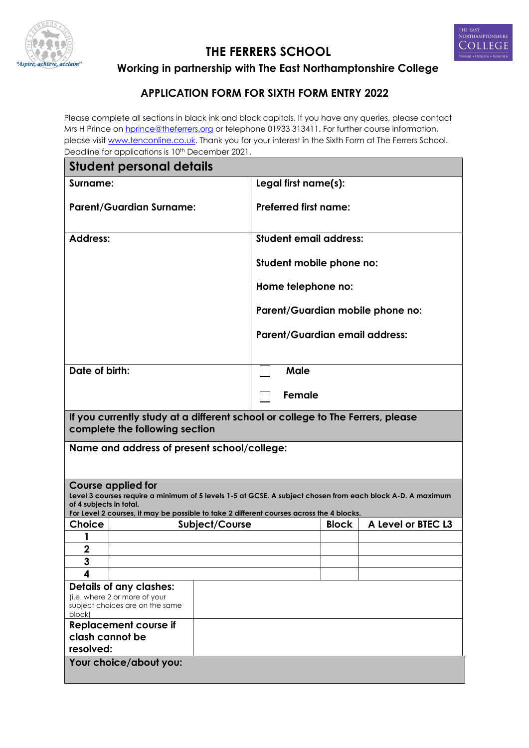



**THE FERRERS SCHOOL**

**Working in partnership with The East Northamptonshire College**

## **APPLICATION FORM FOR SIXTH FORM ENTRY 2022**

Please complete all sections in black ink and block capitals. If you have any queries, please contact Mrs H Prince on hprince@theferrers.org or telephone 01933 313411. For further course information, please visit www.tenconline.co.uk. Thank you for your interest in the Sixth Form at The Ferrers School. Deadline for applications is 10th December 2021.

| boadling for applications is to recognition zozi .<br><b>Student personal details</b>                               |                                                                                                            |  |  |  |
|---------------------------------------------------------------------------------------------------------------------|------------------------------------------------------------------------------------------------------------|--|--|--|
| Surname:                                                                                                            | Legal first name(s):                                                                                       |  |  |  |
| <b>Parent/Guardian Surname:</b>                                                                                     | <b>Preferred first name:</b>                                                                               |  |  |  |
| <b>Address:</b>                                                                                                     | <b>Student email address:</b>                                                                              |  |  |  |
|                                                                                                                     | Student mobile phone no:                                                                                   |  |  |  |
|                                                                                                                     | Home telephone no:                                                                                         |  |  |  |
|                                                                                                                     | Parent/Guardian mobile phone no:                                                                           |  |  |  |
|                                                                                                                     | <b>Parent/Guardian email address:</b>                                                                      |  |  |  |
|                                                                                                                     |                                                                                                            |  |  |  |
| Date of birth:                                                                                                      | <b>Male</b>                                                                                                |  |  |  |
|                                                                                                                     | Female                                                                                                     |  |  |  |
| If you currently study at a different school or college to The Ferrers, please<br>complete the following section    |                                                                                                            |  |  |  |
| Name and address of present school/college:                                                                         |                                                                                                            |  |  |  |
| <b>Course applied for</b>                                                                                           |                                                                                                            |  |  |  |
| of 4 subjects in total.<br>For Level 2 courses, it may be possible to take 2 different courses across the 4 blocks. | Level 3 courses require a minimum of 5 levels 1-5 at GCSE. A subject chosen from each block A-D. A maximum |  |  |  |
| <b>Choice</b><br>Subject/Course                                                                                     | A Level or BTEC L3<br><b>Block</b>                                                                         |  |  |  |
|                                                                                                                     |                                                                                                            |  |  |  |
| 2                                                                                                                   |                                                                                                            |  |  |  |
| 3                                                                                                                   |                                                                                                            |  |  |  |
| 4                                                                                                                   |                                                                                                            |  |  |  |
| <b>Details of any clashes:</b><br>(i.e. where 2 or more of your<br>subject choices are on the same<br>block)        |                                                                                                            |  |  |  |
| <b>Replacement course if</b>                                                                                        |                                                                                                            |  |  |  |
| clash cannot be                                                                                                     |                                                                                                            |  |  |  |
| resolved:                                                                                                           |                                                                                                            |  |  |  |
| Your choice/about you:                                                                                              |                                                                                                            |  |  |  |